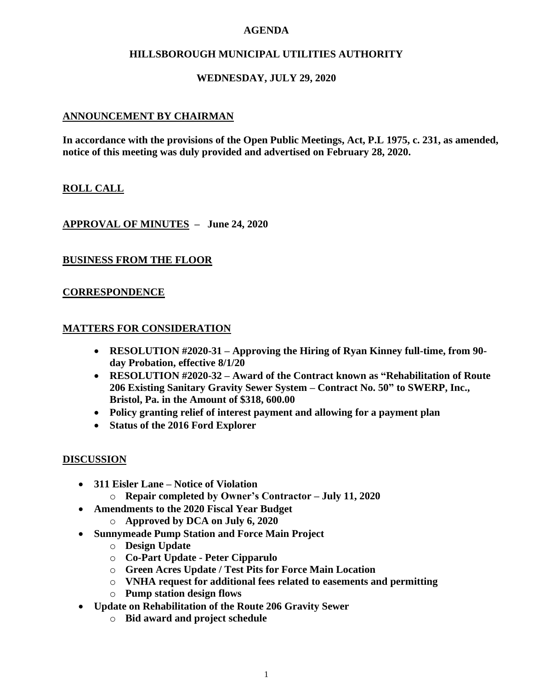### **AGENDA**

# **HILLSBOROUGH MUNICIPAL UTILITIES AUTHORITY**

# **WEDNESDAY, JULY 29, 2020**

## **ANNOUNCEMENT BY CHAIRMAN**

**In accordance with the provisions of the Open Public Meetings, Act, P.L 1975, c. 231, as amended, notice of this meeting was duly provided and advertised on February 28, 2020.**

## **ROLL CALL**

**APPROVAL OF MINUTES – June 24, 2020**

#### **BUSINESS FROM THE FLOOR**

## **CORRESPONDENCE**

## **MATTERS FOR CONSIDERATION**

- **RESOLUTION #2020-31 – Approving the Hiring of Ryan Kinney full-time, from 90 day Probation, effective 8/1/20**
- **RESOLUTION #2020-32 – Award of the Contract known as "Rehabilitation of Route 206 Existing Sanitary Gravity Sewer System – Contract No. 50" to SWERP, Inc., Bristol, Pa. in the Amount of \$318, 600.00**
- **Policy granting relief of interest payment and allowing for a payment plan**
- **Status of the 2016 Ford Explorer**

#### **DISCUSSION**

- **311 Eisler Lane – Notice of Violation** 
	- o **Repair completed by Owner's Contractor – July 11, 2020**
- **Amendments to the 2020 Fiscal Year Budget**
	- o **Approved by DCA on July 6, 2020**
- **Sunnymeade Pump Station and Force Main Project**
	- o **Design Update**
	- o **Co-Part Update - Peter Cipparulo**
	- o **Green Acres Update / Test Pits for Force Main Location**
	- o **VNHA request for additional fees related to easements and permitting**
	- o **Pump station design flows**
- **Update on Rehabilitation of the Route 206 Gravity Sewer**
	- o **Bid award and project schedule**